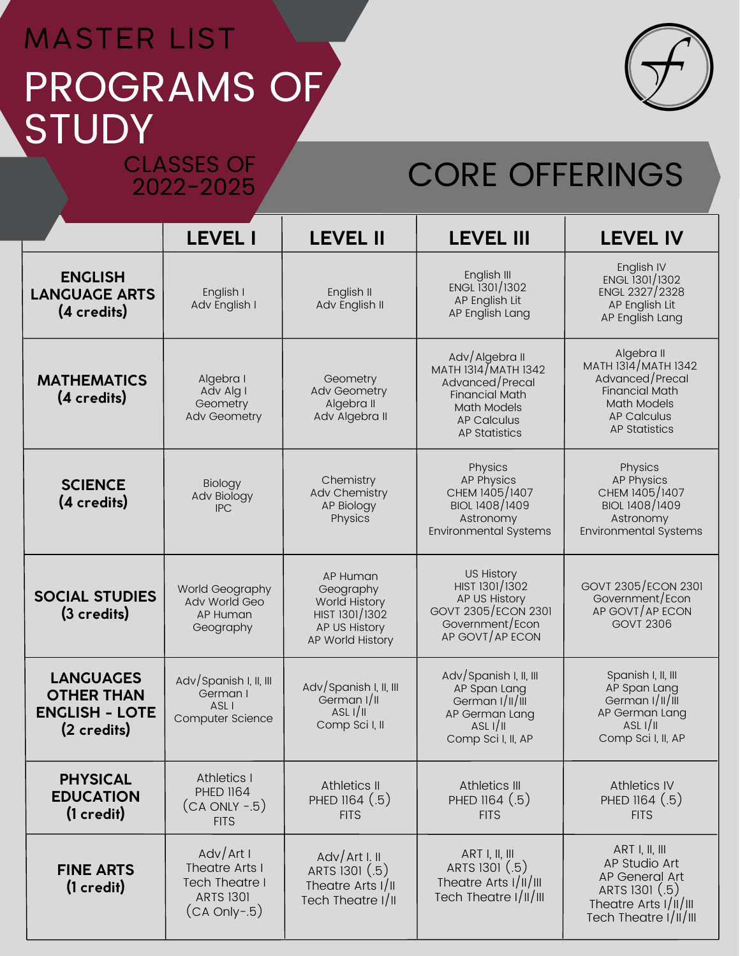## PROGRAMS OF **STUDY** MASTER LIST CLASSES OF

2022-2025



# CORE OFFERINGS

|                                                                               | <b>LEVEL I</b>                                                                               | <b>LEVEL II</b>                                                                               | <b>LEVEL III</b>                                                                                                                               | <b>LEVEL IV</b>                                                                                                                                   |
|-------------------------------------------------------------------------------|----------------------------------------------------------------------------------------------|-----------------------------------------------------------------------------------------------|------------------------------------------------------------------------------------------------------------------------------------------------|---------------------------------------------------------------------------------------------------------------------------------------------------|
| <b>ENGLISH</b><br><b>LANGUAGE ARTS</b><br>(4 credits)                         | English I<br>Adv English I                                                                   | English II<br>Adv English II                                                                  | English III<br>ENGL 1301/1302<br>AP English Lit<br>AP English Lang                                                                             | English IV<br>ENGL 1301/1302<br>ENGL 2327/2328<br>AP English Lit<br>AP English Lang                                                               |
| <b>MATHEMATICS</b><br>(4 credits)                                             | Algebra I<br>Adv Alg I<br>Geometry<br>Adv Geometry                                           | Geometry<br><b>Adv Geometry</b><br>Algebra II<br>Adv Algebra II                               | Adv/Algebra II<br>MATH 1314/MATH 1342<br>Advanced/Precal<br><b>Financial Math</b><br>Math Models<br><b>AP Calculus</b><br><b>AP Statistics</b> | Algebra II<br>MATH 1314/MATH 1342<br>Advanced/Precal<br><b>Financial Math</b><br><b>Math Models</b><br><b>AP Calculus</b><br><b>AP Statistics</b> |
| <b>SCIENCE</b><br>(4 credits)                                                 | Biology<br>Adv Biology<br><b>IPC</b>                                                         | Chemistry<br>Adv Chemistry<br>AP Biology<br>Physics                                           | Physics<br><b>AP Physics</b><br>CHEM 1405/1407<br>BIOL 1408/1409<br>Astronomy<br><b>Environmental Systems</b>                                  | Physics<br><b>AP Physics</b><br>CHEM 1405/1407<br>BIOL 1408/1409<br>Astronomy<br><b>Environmental Systems</b>                                     |
| <b>SOCIAL STUDIES</b><br>(3 credits)                                          | World Geography<br><b>Adv World Geo</b><br>AP Human<br>Geography                             | AP Human<br>Geography<br>World History<br>HIST 1301/1302<br>AP US History<br>AP World History | <b>US History</b><br>HIST 1301/1302<br>AP US History<br>GOVT 2305/ECON 2301<br>Government/Econ<br>AP GOVT/AP ECON                              | GOVT 2305/ECON 2301<br>Government/Econ<br>AP GOVT/AP ECON<br><b>GOVT 2306</b>                                                                     |
| <b>LANGUAGES</b><br><b>OTHER THAN</b><br><b>ENGLISH - LOTE</b><br>(2 credits) | Adv/Spanish I, II, III<br>German I<br>ASL I<br>Computer Science                              | Adv/Spanish I, II, III<br>German I/II<br>ASL $1/1$<br>Comp Sci I, II                          | Adv/Spanish I, II, III<br>AP Span Lang<br>German I/II/III<br>AP German Lang<br>ASL I/II<br>Comp Sci I, II, AP                                  | Spanish I, II, III<br>AP Span Lang<br>German I/II/III<br>AP German Lang<br>ASL $1/1$<br>Comp Sci I, II, AP                                        |
| <b>PHYSICAL</b><br><b>EDUCATION</b><br>$(1 \ncredit)$                         | <b>Athletics I</b><br><b>PHED 1164</b><br>$(CA ONLY - 5)$<br><b>FITS</b>                     | Athletics II<br>PHED 1164 (.5)<br><b>FITS</b>                                                 | Athletics III<br>PHED 1164 (.5)<br><b>FITS</b>                                                                                                 | <b>Athletics IV</b><br>PHED 1164 (.5)<br><b>FITS</b>                                                                                              |
| <b>FINE ARTS</b><br>$(1 \ncredit)$                                            | Adv/Art I<br>Theatre Arts I<br><b>Tech Theatre I</b><br><b>ARTS 1301</b><br>$(CA Only - .5)$ | AdV/Art I. II<br>ARTS 1301 (.5)<br>Theatre Arts I/II<br>Tech Theatre I/II                     | ART I, II, III<br>ARTS 1301 (.5)<br>Theatre Arts I/II/III<br>Tech Theatre I/II/III                                                             | ART I, II, III<br>AP Studio Art<br>AP General Art<br>ARTS 1301 (.5)<br>Theatre Arts I/II/III<br>Tech Theatre I/II/III                             |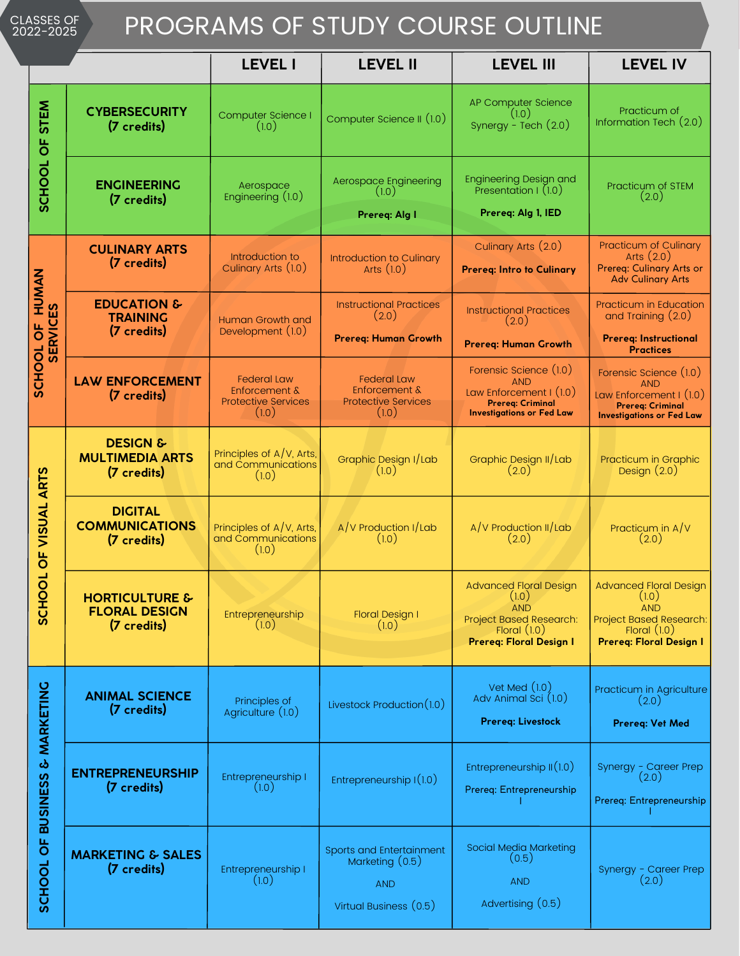#### CLASSES OF 2022-2025

### PROGRAMS OF STUDY COURSE OUTLINE

|                                                   |                                                                  | <b>LEVEL I</b>                                                                        | <b>LEVEL II</b>                                                                       | <b>LEVEL III</b>                                                                                                                    | <b>LEVEL IV</b>                                                                                                                |
|---------------------------------------------------|------------------------------------------------------------------|---------------------------------------------------------------------------------------|---------------------------------------------------------------------------------------|-------------------------------------------------------------------------------------------------------------------------------------|--------------------------------------------------------------------------------------------------------------------------------|
| <b>STEM</b><br>SCHOOL OF                          | <b>CYBERSECURITY</b><br>(7 credits)                              | Computer Science I<br>(1.0)                                                           | Computer Science II (1.0)                                                             | AP Computer Science<br>(1.0)<br>Synergy - Tech (2.0)                                                                                | Practicum of<br>Information Tech (2.0)                                                                                         |
|                                                   | <b>ENGINEERING</b><br>(7 credits)                                | Aerospace<br>Engineering (1.0)                                                        | Aerospace Engineering<br>(1.0)<br>Prereq: Alg I                                       | <b>Engineering Design and</b><br>Presentation I (1.0)<br>Prereq: Alg 1, IED                                                         | Practicum of STEM<br>(2.0)                                                                                                     |
| NANCH<br><b>33</b><br><b>SERVICI</b><br>SCHOOL OF | <b>CULINARY ARTS</b><br>(7 credits)                              | Introduction to<br>Culinary Arts (1.0)                                                | Introduction to Culinary<br>Arts $(1.0)$                                              | Culinary Arts (2.0)<br><b>Prereq: Intro to Culinary</b>                                                                             | Practicum of Culinary<br>Arts $(2.0)$<br>Prereg: Culinary Arts or<br><b>Adv Culinary Arts</b>                                  |
|                                                   | <b>EDUCATION &amp;</b><br><b>TRAINING</b><br>(7 credits)         | <b>Human Growth and</b><br>Development (1.0)                                          | <b>Instructional Practices</b><br>(2.0)<br><b>Prereg: Human Growth</b>                | <b>Instructional Practices</b><br>(2.0)<br><b>Prereq: Human Growth</b>                                                              | <b>Practicum in Education</b><br>and Training (2.0)<br><b>Prereg: Instructional</b><br><b>Practices</b>                        |
|                                                   | <b>LAW ENFORCEMENT</b><br>(7 credits)                            | <b>Federal Law</b><br><b>Enforcement &amp;</b><br><b>Protective Services</b><br>(1.0) | <b>Federal Law</b><br><b>Enforcement &amp;</b><br><b>Protective Services</b><br>(1.0) | Forensic Science (1.0)<br><b>AND</b><br>Law Enforcement I (1.0)<br><b>Prereg: Criminal</b><br><b>Investigations or Fed Law</b>      | Forensic Science (1.0)<br><b>AND</b><br>Law Enforcement I (1.0)<br><b>Prereg: Criminal</b><br><b>Investigations or Fed Law</b> |
| OF VISUAL ARTS<br>┙<br>SCHOO                      | <b>DESIGN &amp;</b><br><b>MULTIMEDIA ARTS</b><br>(7 credits)     | Principles of $A/V$ , Arts,<br>and Communications<br>(1.0)                            | Graphic Design I/Lab<br>(1.0)                                                         | Graphic Design II/Lab<br>(2.0)                                                                                                      | Practicum in Graphic<br>Design $(2.0)$                                                                                         |
|                                                   | <b>DIGITAL</b><br><b>COMMUNICATIONS</b><br>(7 credits)           | Principles of A/V, Arts,<br>and Communications<br>(1.0)                               | A/V Production I/Lab<br>(1.0)                                                         | A/V Production II/Lab<br>(2.0)                                                                                                      | Practicum in $A/V$<br>(2.0)                                                                                                    |
|                                                   | <b>HORTICULTURE &amp;</b><br><b>FLORAL DESIGN</b><br>(7 credits) | Entrepreneurship<br>(1.0)                                                             | <b>Floral Design I</b><br>(1.0)                                                       | <b>Advanced Floral Design</b><br>(1.0)<br><b>AND</b><br><b>Project Based Research:</b><br>Floral $(1.0)$<br>Prereq: Floral Design I | <b>Advanced Floral Design</b><br>(1.0)<br><b>AND</b><br>Project Based Research:<br>Floral $(1.0)$<br>Prereq: Floral Design I   |
| <b>BUSINESS &amp; MARKETING</b><br>SCHOOL OF      | <b>ANIMAL SCIENCE</b><br>(7 credits)                             | Principles of<br>Agriculture (1.0)                                                    | Livestock Production(1.0)                                                             | Vet Med $(1.0)$<br>Adv Animal Sci (1.0)<br>Prereq: Livestock                                                                        | Practicum in Agriculture<br>(2.0)<br>Prereq: Vet Med                                                                           |
|                                                   | <b>ENTREPRENEURSHIP</b><br>(7 credits)                           | Entrepreneurship I<br>(1.0)                                                           | Entrepreneurship $I(1.0)$                                                             | Entrepreneurship $\mathop{\parallel}(1.0)$<br>Prereq: Entrepreneurship                                                              | Synergy - Career Prep<br>(2.0)<br>Prereq: Entrepreneurship                                                                     |
|                                                   | <b>MARKETING &amp; SALES</b><br>(7 credits)                      | Entrepreneurship I<br>(1.0)                                                           | Sports and Entertainment<br>Marketing (0.5)<br><b>AND</b><br>Virtual Business (0.5)   | Social Media Marketing<br>(0.5)<br><b>AND</b><br>Advertising (0.5)                                                                  | Synergy - Career Prep<br>(2.0)                                                                                                 |